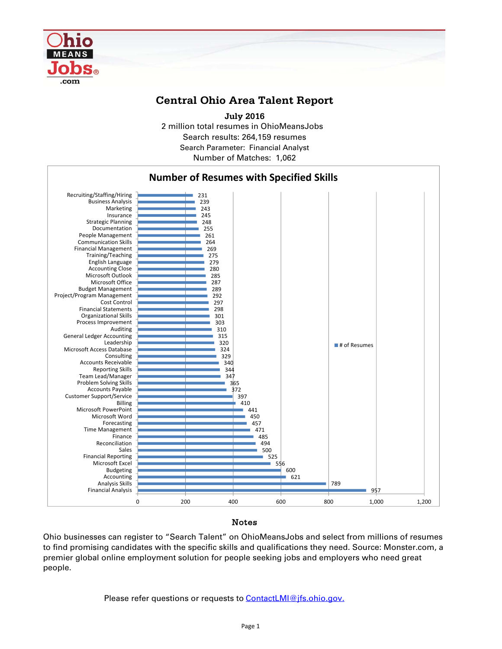

## **Central Ohio Area Talent Report**

2 million total resumes in OhioMeansJobs Search results: 264,159 resumes Number of Matches: 1,062 **July 2016** Search Parameter: Financial Analyst



Notes

Ohio businesses can register to "Search Talent" on OhioMeansJobs and select from millions of resumes to find promising candidates with the specific skills and qualifications they need. Source: Monster.com, a premier global online employment solution for people seeking jobs and employers who need great people.

Please refer questions or requests to **ContactLMI@jfs.ohio.gov.**